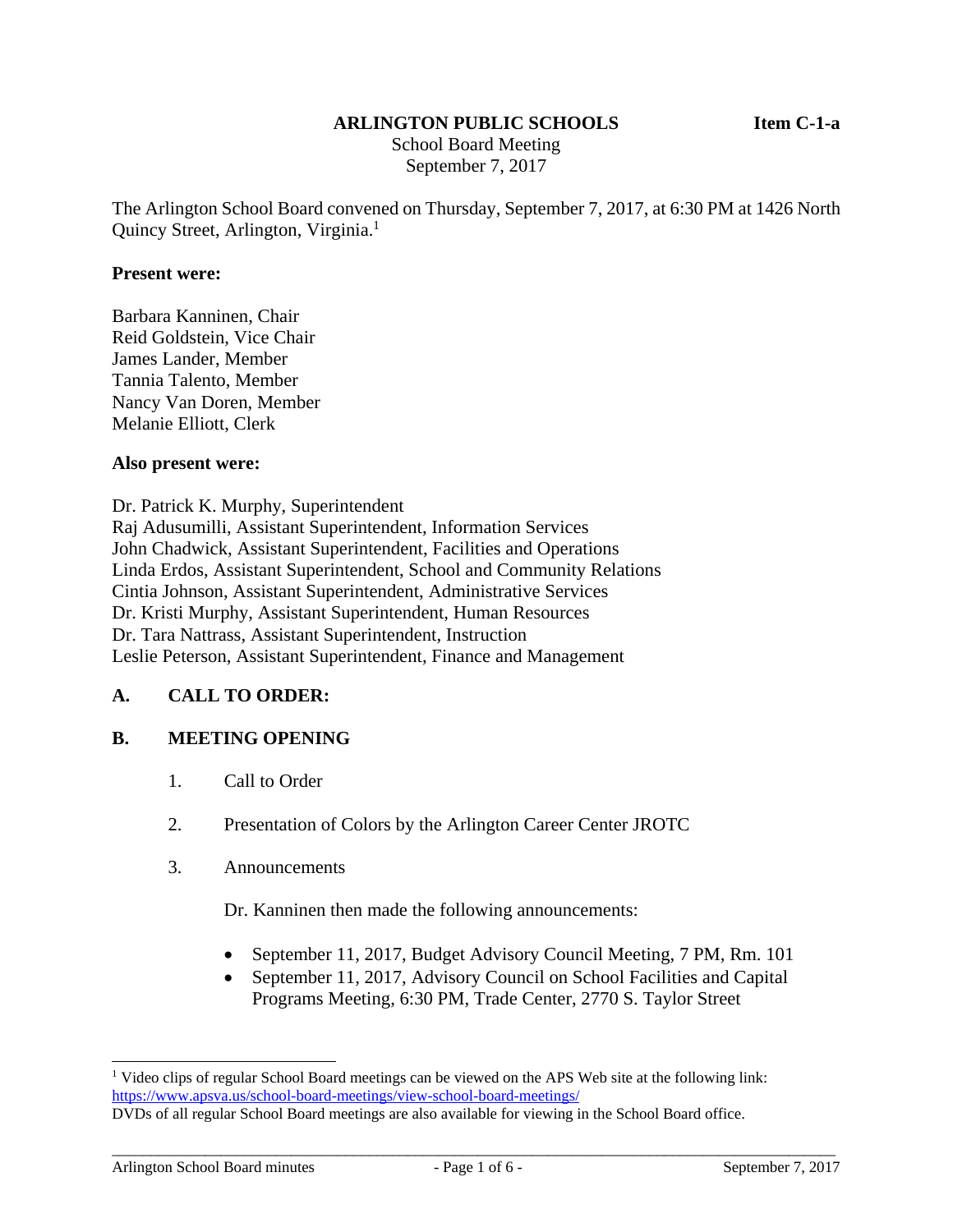#### **ARLINGTON PUBLIC SCHOOLS Item C-1-a**

 School Board Meeting September 7, 2017

The Arlington School Board convened on Thursday, September 7, 2017, at 6:30 PM at 1426 North Quincy Street, Arlington, Virginia.<sup>1</sup>

#### **Present were:**

Barbara Kanninen, Chair Reid Goldstein, Vice Chair James Lander, Member Tannia Talento, Member Nancy Van Doren, Member Melanie Elliott, Clerk

#### **Also present were:**

Dr. Patrick K. Murphy, Superintendent Raj Adusumilli, Assistant Superintendent, Information Services John Chadwick, Assistant Superintendent, Facilities and Operations Linda Erdos, Assistant Superintendent, School and Community Relations Cintia Johnson, Assistant Superintendent, Administrative Services Dr. Kristi Murphy, Assistant Superintendent, Human Resources Dr. Tara Nattrass, Assistant Superintendent, Instruction Leslie Peterson, Assistant Superintendent, Finance and Management

### **A. CALL TO ORDER:**

### **B. MEETING OPENING**

- 1. Call to Order
- 2. Presentation of Colors by the Arlington Career Center JROTC
- 3. Announcements

Dr. Kanninen then made the following announcements:

- September 11, 2017, Budget Advisory Council Meeting, 7 PM, Rm. 101
- September 11, 2017, Advisory Council on School Facilities and Capital Programs Meeting, 6:30 PM, Trade Center, 2770 S. Taylor Street

l

<sup>&</sup>lt;sup>1</sup> Video clips of regular School Board meetings can be viewed on the APS Web site at the following link: https://www.apsva.us/school-board-meetings/view-school-board-meetings/

DVDs of all regular School Board meetings are also available for viewing in the School Board office.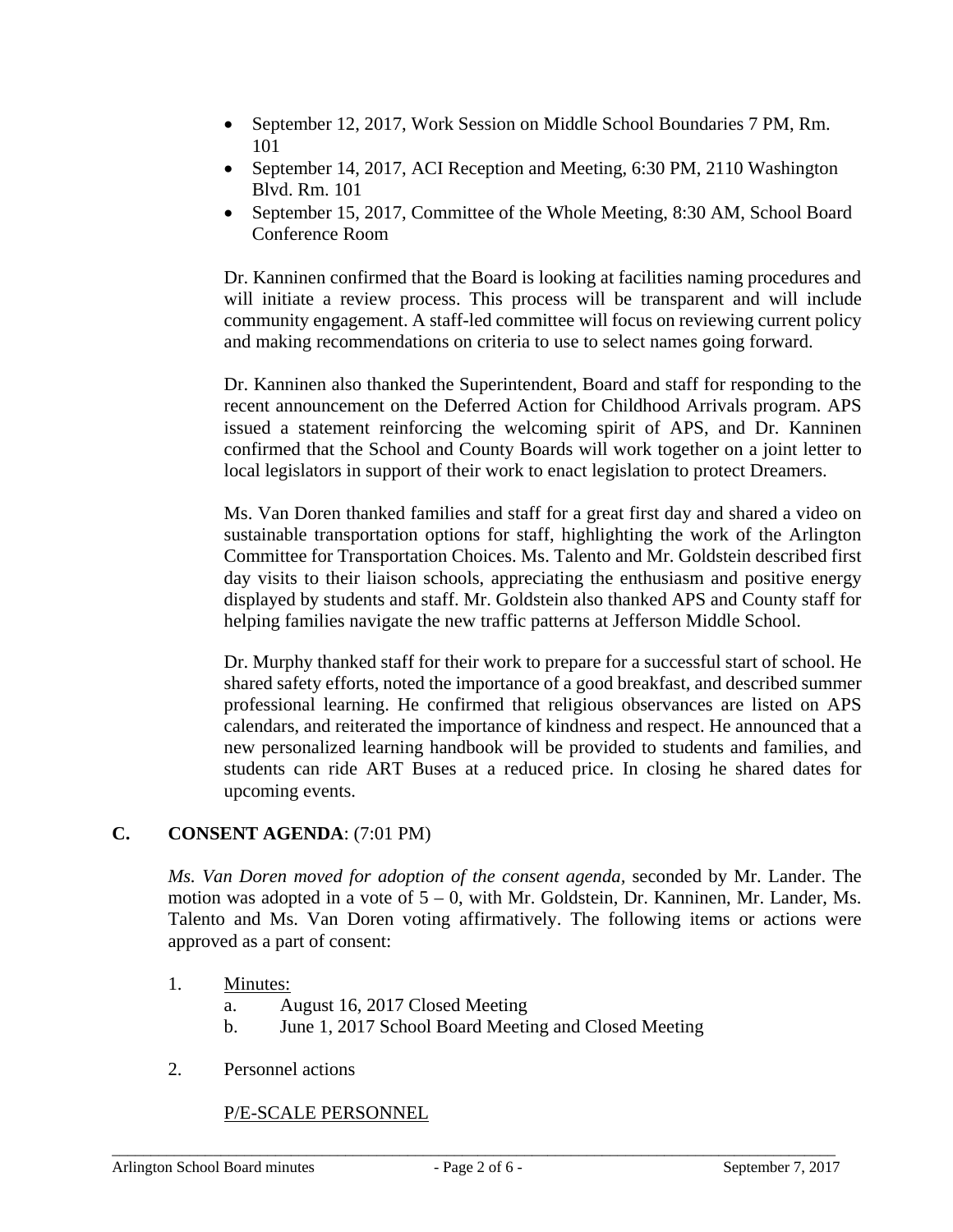- September 12, 2017, Work Session on Middle School Boundaries 7 PM, Rm. 101
- September 14, 2017, ACI Reception and Meeting, 6:30 PM, 2110 Washington Blvd. Rm. 101
- September 15, 2017, Committee of the Whole Meeting, 8:30 AM, School Board Conference Room

Dr. Kanninen confirmed that the Board is looking at facilities naming procedures and will initiate a review process. This process will be transparent and will include community engagement. A staff-led committee will focus on reviewing current policy and making recommendations on criteria to use to select names going forward.

Dr. Kanninen also thanked the Superintendent, Board and staff for responding to the recent announcement on the Deferred Action for Childhood Arrivals program. APS issued a statement reinforcing the welcoming spirit of APS, and Dr. Kanninen confirmed that the School and County Boards will work together on a joint letter to local legislators in support of their work to enact legislation to protect Dreamers.

Ms. Van Doren thanked families and staff for a great first day and shared a video on sustainable transportation options for staff, highlighting the work of the Arlington Committee for Transportation Choices. Ms. Talento and Mr. Goldstein described first day visits to their liaison schools, appreciating the enthusiasm and positive energy displayed by students and staff. Mr. Goldstein also thanked APS and County staff for helping families navigate the new traffic patterns at Jefferson Middle School.

Dr. Murphy thanked staff for their work to prepare for a successful start of school. He shared safety efforts, noted the importance of a good breakfast, and described summer professional learning. He confirmed that religious observances are listed on APS calendars, and reiterated the importance of kindness and respect. He announced that a new personalized learning handbook will be provided to students and families, and students can ride ART Buses at a reduced price. In closing he shared dates for upcoming events.

# **C. CONSENT AGENDA**: (7:01 PM)

*Ms. Van Doren moved for adoption of the consent agenda,* seconded by Mr. Lander. The motion was adopted in a vote of 5 – 0, with Mr. Goldstein, Dr. Kanninen, Mr. Lander, Ms. Talento and Ms. Van Doren voting affirmatively. The following items or actions were approved as a part of consent:

- 1. Minutes:
	- a. August 16, 2017 Closed Meeting
	- b. June 1, 2017 School Board Meeting and Closed Meeting
- 2. Personnel actions

# P/E-SCALE PERSONNEL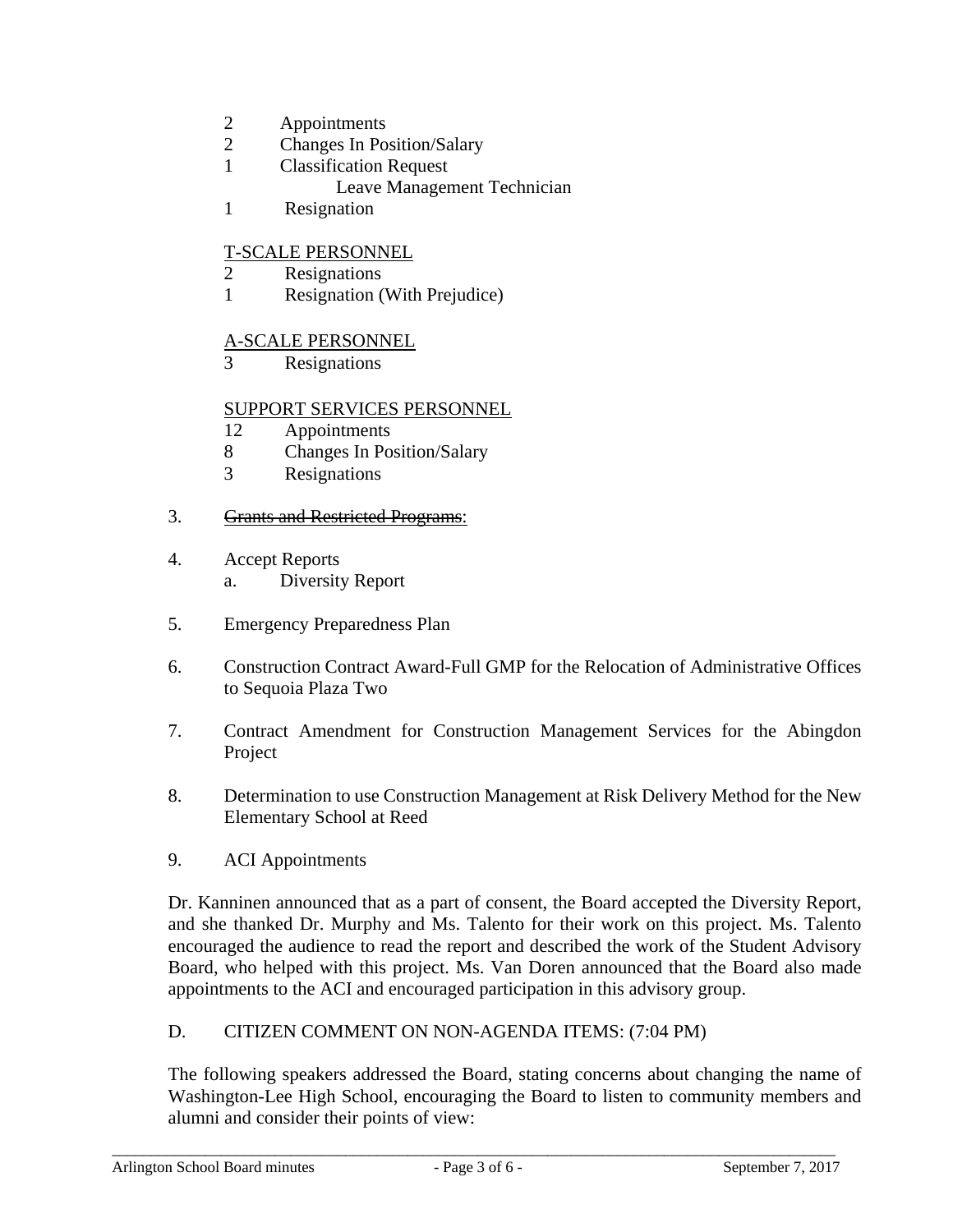- 2 Appointments
- 2 Changes In Position/Salary
- 1 Classification Request
	- Leave Management Technician
- 1 Resignation

### T-SCALE PERSONNEL

- 2 Resignations
- 1 Resignation (With Prejudice)

### A-SCALE PERSONNEL

3 Resignations

### SUPPORT SERVICES PERSONNEL

- 12 Appointments
- 8 Changes In Position/Salary
- 3 Resignations
- 3. Grants and Restricted Programs:
- 4. Accept Reports a. Diversity Report
- 5. Emergency Preparedness Plan
- 6. Construction Contract Award-Full GMP for the Relocation of Administrative Offices to Sequoia Plaza Two
- 7. Contract Amendment for Construction Management Services for the Abingdon Project
- 8. Determination to use Construction Management at Risk Delivery Method for the New Elementary School at Reed
- 9. ACI Appointments

Dr. Kanninen announced that as a part of consent, the Board accepted the Diversity Report, and she thanked Dr. Murphy and Ms. Talento for their work on this project. Ms. Talento encouraged the audience to read the report and described the work of the Student Advisory Board, who helped with this project. Ms. Van Doren announced that the Board also made appointments to the ACI and encouraged participation in this advisory group.

### D. CITIZEN COMMENT ON NON-AGENDA ITEMS: (7:04 PM)

The following speakers addressed the Board, stating concerns about changing the name of Washington-Lee High School, encouraging the Board to listen to community members and alumni and consider their points of view: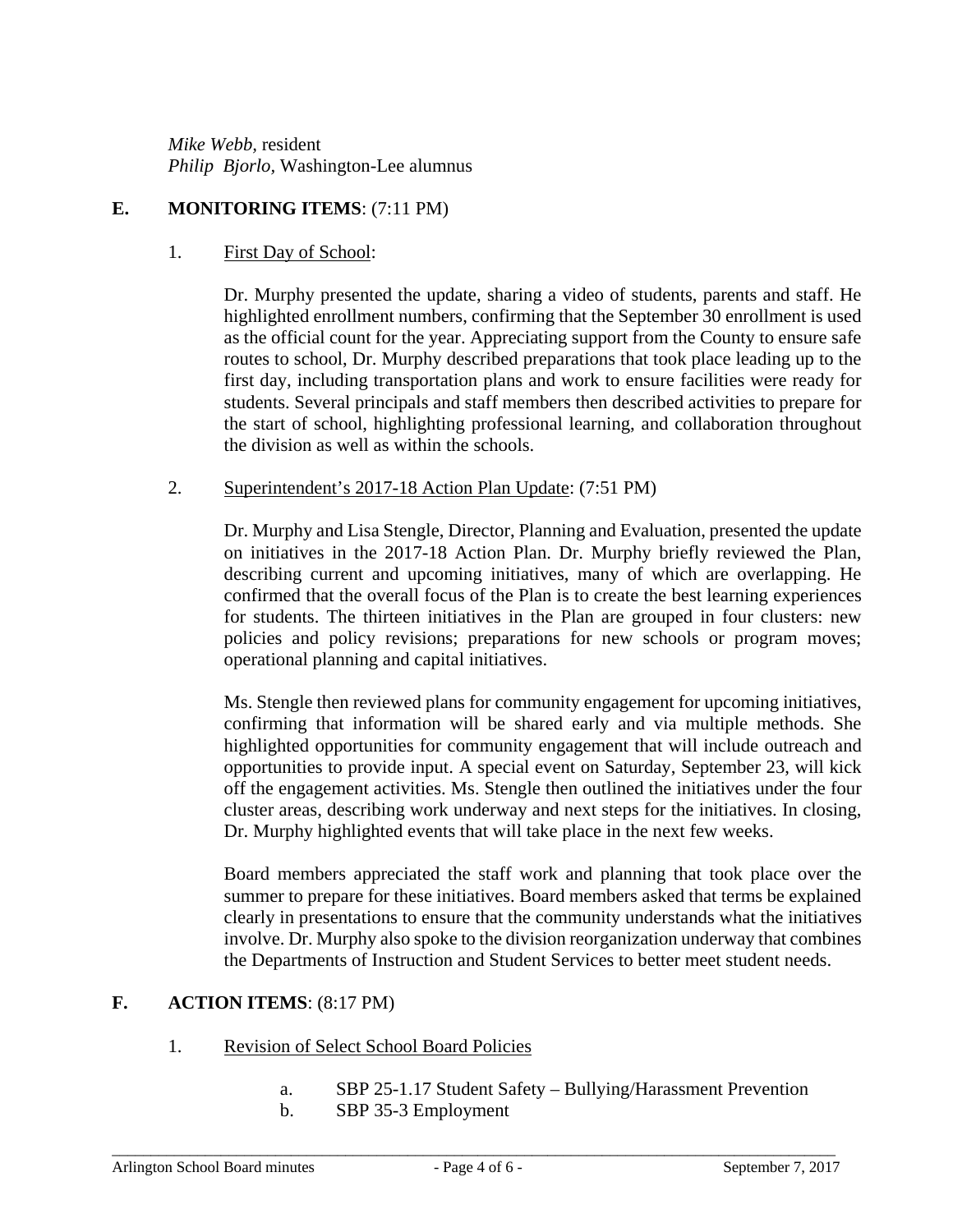*Mike Webb,* resident *Philip Bjorlo,* Washington-Lee alumnus

# **E. MONITORING ITEMS**: (7:11 PM)

### 1. First Day of School:

Dr. Murphy presented the update, sharing a video of students, parents and staff. He highlighted enrollment numbers, confirming that the September 30 enrollment is used as the official count for the year. Appreciating support from the County to ensure safe routes to school, Dr. Murphy described preparations that took place leading up to the first day, including transportation plans and work to ensure facilities were ready for students. Several principals and staff members then described activities to prepare for the start of school, highlighting professional learning, and collaboration throughout the division as well as within the schools.

### 2. Superintendent's 2017-18 Action Plan Update: (7:51 PM)

Dr. Murphy and Lisa Stengle, Director, Planning and Evaluation, presented the update on initiatives in the 2017-18 Action Plan. Dr. Murphy briefly reviewed the Plan, describing current and upcoming initiatives, many of which are overlapping. He confirmed that the overall focus of the Plan is to create the best learning experiences for students. The thirteen initiatives in the Plan are grouped in four clusters: new policies and policy revisions; preparations for new schools or program moves; operational planning and capital initiatives.

Ms. Stengle then reviewed plans for community engagement for upcoming initiatives, confirming that information will be shared early and via multiple methods. She highlighted opportunities for community engagement that will include outreach and opportunities to provide input. A special event on Saturday, September 23, will kick off the engagement activities. Ms. Stengle then outlined the initiatives under the four cluster areas, describing work underway and next steps for the initiatives. In closing, Dr. Murphy highlighted events that will take place in the next few weeks.

Board members appreciated the staff work and planning that took place over the summer to prepare for these initiatives. Board members asked that terms be explained clearly in presentations to ensure that the community understands what the initiatives involve. Dr. Murphy also spoke to the division reorganization underway that combines the Departments of Instruction and Student Services to better meet student needs.

# **F. ACTION ITEMS**: (8:17 PM)

# 1. Revision of Select School Board Policies

- a. SBP 25-1.17 Student Safety Bullying/Harassment Prevention
- b. SBP 35-3 Employment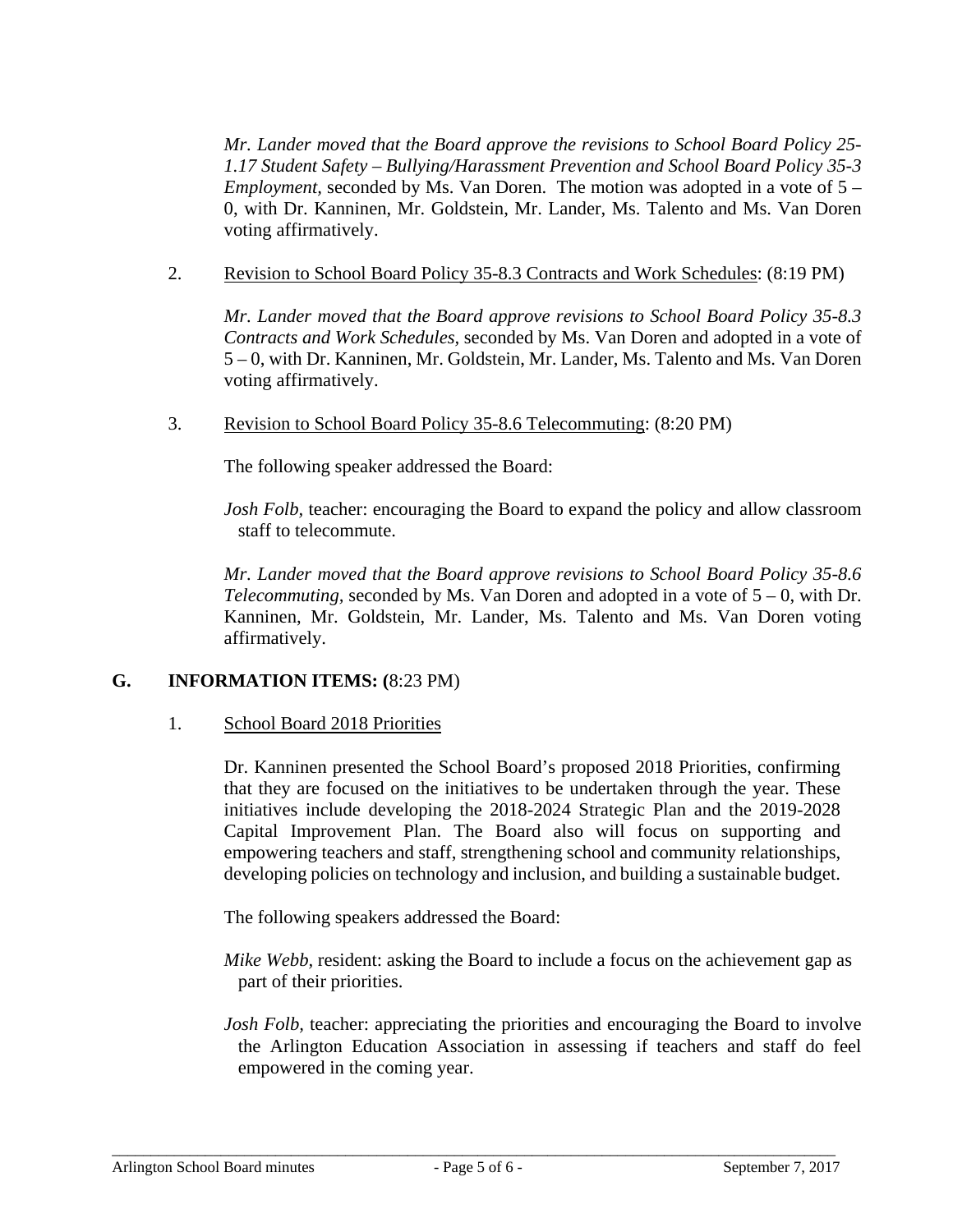*Mr. Lander moved that the Board approve the revisions to School Board Policy 25- 1.17 Student Safety – Bullying/Harassment Prevention and School Board Policy 35-3 Employment,* seconded by Ms. Van Doren. The motion was adopted in a vote of 5 – 0, with Dr. Kanninen, Mr. Goldstein, Mr. Lander, Ms. Talento and Ms. Van Doren voting affirmatively.

2. Revision to School Board Policy 35-8.3 Contracts and Work Schedules: (8:19 PM)

*Mr. Lander moved that the Board approve revisions to School Board Policy 35-8.3 Contracts and Work Schedules,* seconded by Ms. Van Doren and adopted in a vote of 5 – 0, with Dr. Kanninen, Mr. Goldstein, Mr. Lander, Ms. Talento and Ms. Van Doren voting affirmatively.

3. Revision to School Board Policy 35-8.6 Telecommuting: (8:20 PM)

The following speaker addressed the Board:

*Josh Folb,* teacher: encouraging the Board to expand the policy and allow classroom staff to telecommute.

*Mr. Lander moved that the Board approve revisions to School Board Policy 35-8.6 Telecommuting,* seconded by Ms. Van Doren and adopted in a vote of 5 – 0, with Dr. Kanninen, Mr. Goldstein, Mr. Lander, Ms. Talento and Ms. Van Doren voting affirmatively.

# **G. INFORMATION ITEMS: (**8:23 PM)

### 1. School Board 2018 Priorities

Dr. Kanninen presented the School Board's proposed 2018 Priorities, confirming that they are focused on the initiatives to be undertaken through the year. These initiatives include developing the 2018-2024 Strategic Plan and the 2019-2028 Capital Improvement Plan. The Board also will focus on supporting and empowering teachers and staff, strengthening school and community relationships, developing policies on technology and inclusion, and building a sustainable budget.

The following speakers addressed the Board:

- *Mike Webb,* resident: asking the Board to include a focus on the achievement gap as part of their priorities.
- *Josh Folb,* teacher: appreciating the priorities and encouraging the Board to involve the Arlington Education Association in assessing if teachers and staff do feel empowered in the coming year.